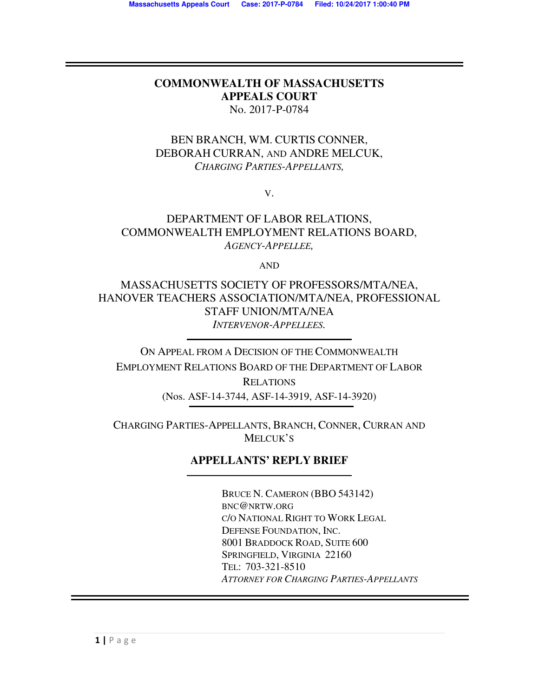### **COMMONWEALTH OF MASSACHUSETTS APPEALS COURT** No. 2017-P-0784

## BEN BRANCH, WM. CURTIS CONNER, DEBORAH CURRAN, AND ANDRE MELCUK, *CHARGING PARTIES-APPELLANTS,*

V.

### DEPARTMENT OF LABOR RELATIONS, COMMONWEALTH EMPLOYMENT RELATIONS BOARD, *AGENCY-APPELLEE,*

AND

MASSACHUSETTS SOCIETY OF PROFESSORS/MTA/NEA, HANOVER TEACHERS ASSOCIATION/MTA/NEA, PROFESSIONAL STAFF UNION/MTA/NEA *INTERVENOR-APPELLEES.* 

ON APPEAL FROM A DECISION OF THE COMMONWEALTH EMPLOYMENT RELATIONS BOARD OF THE DEPARTMENT OF LABOR **RELATIONS** 

(Nos. ASF-14-3744, ASF-14-3919, ASF-14-3920)

CHARGING PARTIES-APPELLANTS, BRANCH, CONNER, CURRAN AND MELCUK'S

# **APPELLANTS' REPLY BRIEF**

 BRUCE N. CAMERON (BBO 543142) BNC@NRTW.ORG C/O NATIONAL RIGHT TO WORK LEGAL DEFENSE FOUNDATION, INC. 8001 BRADDOCK ROAD, SUITE 600 SPRINGFIELD, VIRGINIA 22160 TEL: 703-321-8510 *ATTORNEY FOR CHARGING PARTIES-APPELLANTS*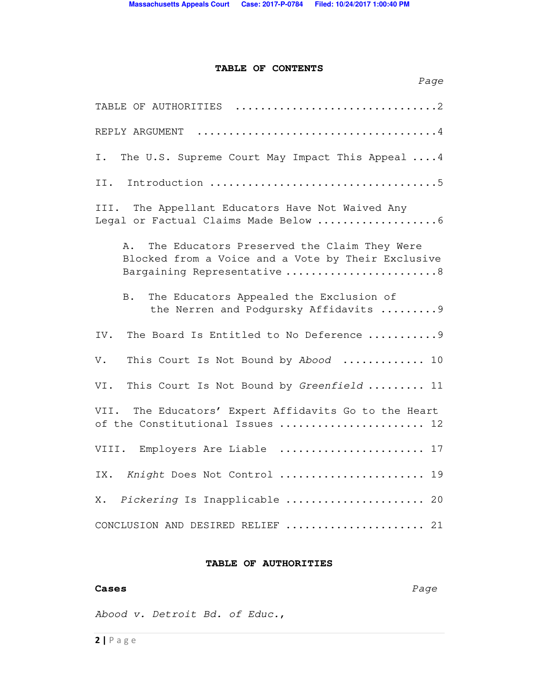### **TABLE OF CONTENTS**

| Page                                                                                                                                   |
|----------------------------------------------------------------------------------------------------------------------------------------|
| TABLE OF AUTHORITIES 2                                                                                                                 |
| REPLY ARGUMENT                                                                                                                         |
| The U.S. Supreme Court May Impact This Appeal  4<br>Ι.                                                                                 |
| II.                                                                                                                                    |
| III. The Appellant Educators Have Not Waived Any                                                                                       |
| The Educators Preserved the Claim They Were<br>Α.<br>Blocked from a Voice and a Vote by Their Exclusive<br>Bargaining Representative 8 |
| The Educators Appealed the Exclusion of<br>В.<br>the Nerren and Podgursky Affidavits  9                                                |
| The Board Is Entitled to No Deference  9<br>IV.                                                                                        |
| This Court Is Not Bound by Abood  10<br>V.                                                                                             |
| This Court Is Not Bound by Greenfield  11<br>VI.                                                                                       |
| The Educators' Expert Affidavits Go to the Heart<br>VII.<br>of the Constitutional Issues  12                                           |
| VIII. Employers Are Liable  17                                                                                                         |
| IX. Knight Does Not Control  19                                                                                                        |
| Pickering Is Inapplicable  20<br>Х.                                                                                                    |
| CONCLUSION AND DESIRED RELIEF<br>21                                                                                                    |

#### **TABLE OF AUTHORITIES**

#### **Cases** *Page*

*Abood v. Detroit Bd. of Educ.*,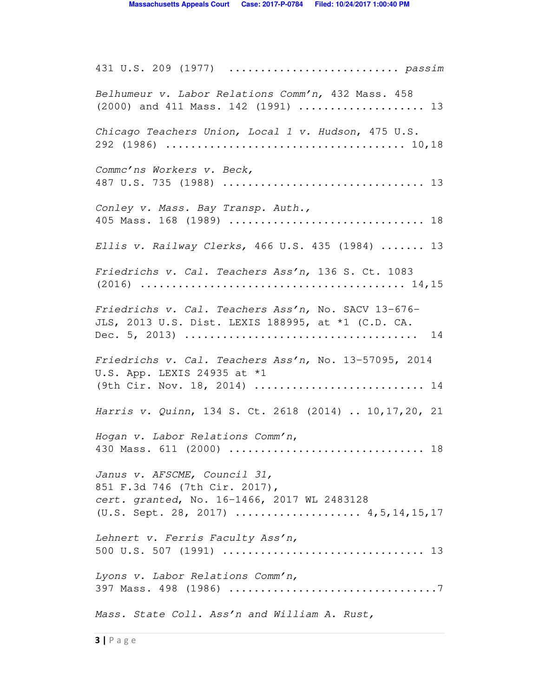431 U.S. 209 (1977) ........................... *passim Belhumeur v. Labor Relations Comm'n,* 432 Mass. 458 (2000) and 411 Mass. 142 (1991) .................... 13 *Chicago Teachers Union, Local 1 v. Hudson*, 475 U.S. 292 (1986) ...................................... 10,18 *Commc'ns Workers v. Beck,* 487 U.S. 735 (1988) ................................ 13 *Conley v. Mass. Bay Transp. Auth.,* 405 Mass. 168 (1989) ............................... 18 *Ellis v. Railway Clerks,* 466 U.S. 435 (1984) ....... 13 *Friedrichs v. Cal. Teachers Ass'n,* 136 S. Ct. 1083 (2016) .......................................... 14,15 *Friedrichs v. Cal. Teachers Ass'n,* No. SACV 13-676- JLS, 2013 U.S. Dist. LEXIS 188995, at \*1 (C.D. CA. Dec. 5, 2013) ..................................... 14 *Friedrichs v. Cal. Teachers Ass'n,* No. 13-57095, 2014 U.S. App. LEXIS 24935 at \*1 (9th Cir. Nov. 18, 2014) ............................... 14 *Harris v. Quinn*, 134 S. Ct. 2618 (2014) .. 10,17,20, 21 *Hogan v. Labor Relations Comm'n*, 430 Mass. 611 (2000) ............................... 18 *Janus v. AFSCME, Council 31,* 851 F.3d 746 (7th Cir. 2017), *cert. granted*, No. 16-1466, 2017 WL 2483128 (U.S. Sept. 28, 2017) .................... 4,5,14,15,17 *Lehnert v. Ferris Faculty Ass'n,*  500 U.S. 507 (1991) ................................ 13 *Lyons v. Labor Relations Comm'n,*  397 Mass. 498 (1986) .................................7 *Mass. State Coll. Ass'n and William A. Rust,*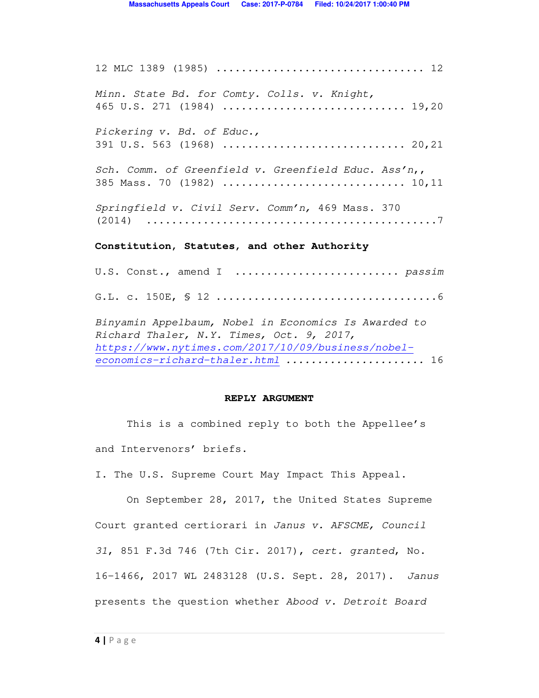12 MLC 1389 (1985) ................................. 12 *Minn. State Bd. for Comty. Colls. v. Knight,* 465 U.S. 271 (1984) ............................. 19,20 *Pickering v. Bd. of Educ.,* 391 U.S. 563 (1968) ................................... 20,21 *Sch. Comm. of Greenfield v. Greenfield Educ. Ass'n*,, 385 Mass. 70 (1982) ............................. 10,11 *Springfield v. Civil Serv. Comm'n,* 469 Mass. 370 (2014) ..............................................7 **Constitution, Statutes, and other Authority**  U.S. Const., amend I .......................... *passim*  G.L. c. 150E, § 12 ...................................6 *Binyamin Appelbaum, Nobel in Economics Is Awarded to Richard Thaler, N.Y. Times, Oct. 9, 2017, https://www.nytimes.com/2017/10/09/business/nobeleconomics-richard-thaler.html ......................* 16

#### **REPLY ARGUMENT**

 This is a combined reply to both the Appellee's and Intervenors' briefs.

I. The U.S. Supreme Court May Impact This Appeal.

 On September 28, 2017, the United States Supreme Court granted certiorari in *Janus v. AFSCME, Council 31*, 851 F.3d 746 (7th Cir. 2017), *cert. granted*, No. 16-1466, 2017 WL 2483128 (U.S. Sept. 28, 2017). *Janus* presents the question whether *Abood v. Detroit Board*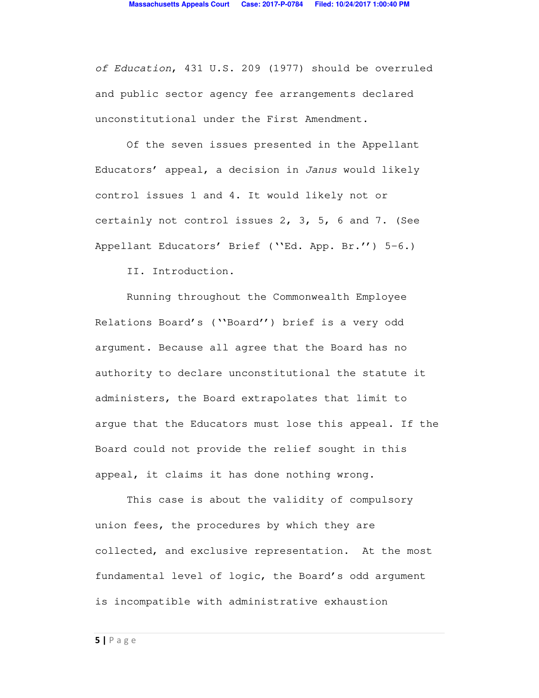*of Education*, 431 U.S. 209 (1977) should be overruled and public sector agency fee arrangements declared unconstitutional under the First Amendment.

 Of the seven issues presented in the Appellant Educators' appeal, a decision in *Janus* would likely control issues 1 and 4. It would likely not or certainly not control issues 2, 3, 5, 6 and 7. (See Appellant Educators' Brief (''Ed. App. Br.'') 5-6.)

II. Introduction.

Running throughout the Commonwealth Employee Relations Board's (''Board'') brief is a very odd argument. Because all agree that the Board has no authority to declare unconstitutional the statute it administers, the Board extrapolates that limit to argue that the Educators must lose this appeal. If the Board could not provide the relief sought in this appeal, it claims it has done nothing wrong.

This case is about the validity of compulsory union fees, the procedures by which they are collected, and exclusive representation. At the most fundamental level of logic, the Board's odd argument is incompatible with administrative exhaustion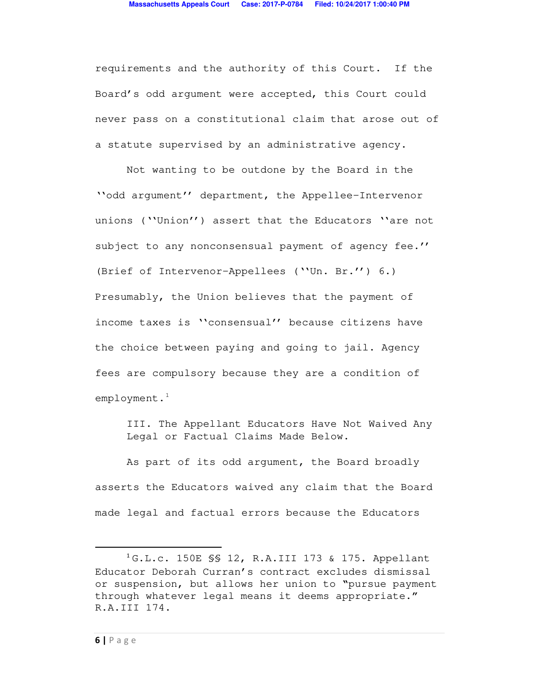requirements and the authority of this Court. If the Board's odd argument were accepted, this Court could never pass on a constitutional claim that arose out of a statute supervised by an administrative agency.

Not wanting to be outdone by the Board in the ''odd argument'' department, the Appellee-Intervenor unions (''Union'') assert that the Educators ''are not subject to any nonconsensual payment of agency fee.'' (Brief of Intervenor-Appellees (''Un. Br.'') 6.) Presumably, the Union believes that the payment of income taxes is ''consensual'' because citizens have the choice between paying and going to jail. Agency fees are compulsory because they are a condition of employment.<sup>1</sup>

III. The Appellant Educators Have Not Waived Any Legal or Factual Claims Made Below.

 As part of its odd argument, the Board broadly asserts the Educators waived any claim that the Board made legal and factual errors because the Educators

 $\overline{a}$ 

<sup>1</sup> G.L.c. 150E §§ 12, R.A.III 173 & 175. Appellant Educator Deborah Curran's contract excludes dismissal or suspension, but allows her union to "pursue payment through whatever legal means it deems appropriate." R.A.III 174.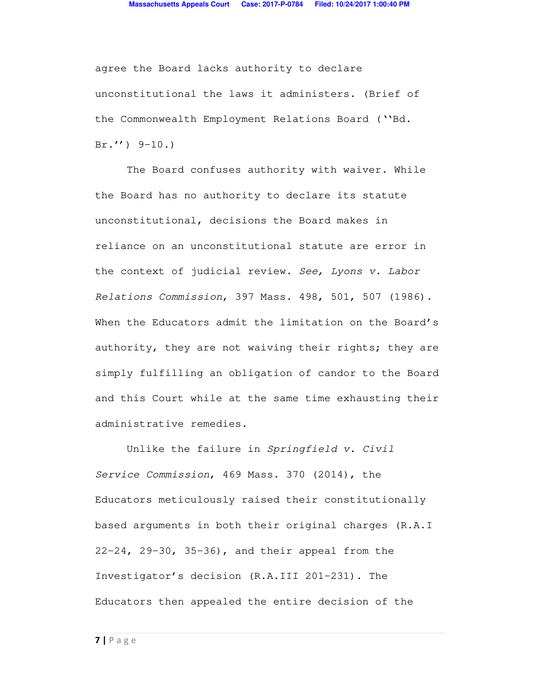agree the Board lacks authority to declare unconstitutional the laws it administers. (Brief of the Commonwealth Employment Relations Board (''Bd.  $Br.'$ ) 9-10.)

The Board confuses authority with waiver. While the Board has no authority to declare its statute unconstitutional, decisions the Board makes in reliance on an unconstitutional statute are error in the context of judicial review. *See, Lyons v. Labor Relations Commission*, 397 Mass. 498, 501, 507 (1986). When the Educators admit the limitation on the Board's authority, they are not waiving their rights; they are simply fulfilling an obligation of candor to the Board and this Court while at the same time exhausting their administrative remedies.

Unlike the failure in *Springfield v. Civil Service Commission*, 469 Mass. 370 (2014), the Educators meticulously raised their constitutionally based arguments in both their original charges (R.A.I 22-24, 29-30, 35-36), and their appeal from the Investigator's decision (R.A.III 201-231). The Educators then appealed the entire decision of the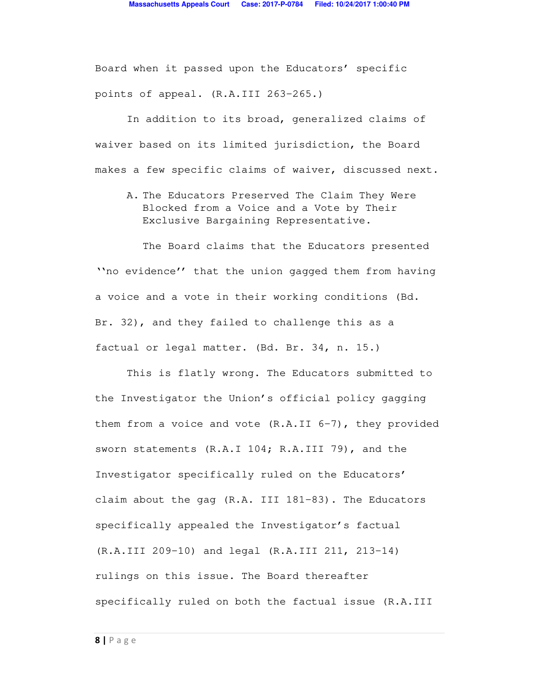Board when it passed upon the Educators' specific points of appeal. (R.A.III 263-265.)

In addition to its broad, generalized claims of waiver based on its limited jurisdiction, the Board makes a few specific claims of waiver, discussed next.

A. The Educators Preserved The Claim They Were Blocked from a Voice and a Vote by Their Exclusive Bargaining Representative.

The Board claims that the Educators presented ''no evidence'' that the union gagged them from having a voice and a vote in their working conditions (Bd. Br. 32), and they failed to challenge this as a factual or legal matter. (Bd. Br. 34, n. 15.)

This is flatly wrong. The Educators submitted to the Investigator the Union's official policy gagging them from a voice and vote  $(R.A.II 6-7)$ , they provided sworn statements (R.A.I 104; R.A.III 79), and the Investigator specifically ruled on the Educators' claim about the gag (R.A. III 181-83). The Educators specifically appealed the Investigator's factual (R.A.III 209-10) and legal (R.A.III 211, 213-14) rulings on this issue. The Board thereafter specifically ruled on both the factual issue (R.A.III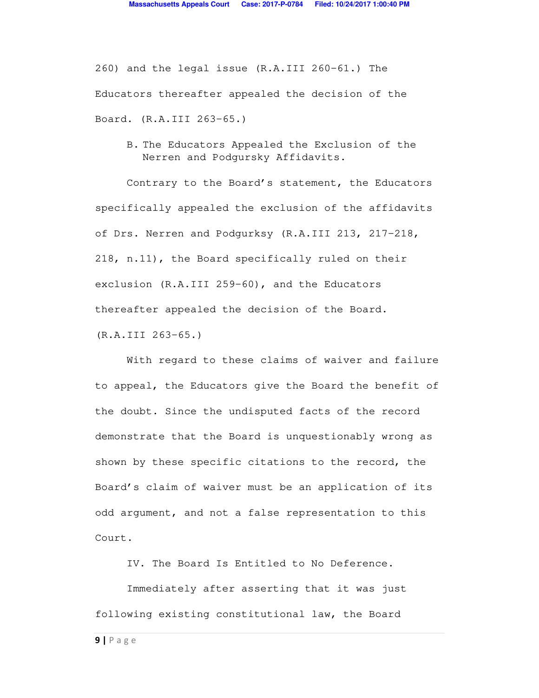260) and the legal issue (R.A.III 260-61.) The Educators thereafter appealed the decision of the Board. (R.A.III 263-65.)

B. The Educators Appealed the Exclusion of the Nerren and Podgursky Affidavits.

Contrary to the Board's statement, the Educators specifically appealed the exclusion of the affidavits of Drs. Nerren and Podgurksy (R.A.III 213, 217-218, 218, n.11), the Board specifically ruled on their exclusion (R.A.III 259-60), and the Educators thereafter appealed the decision of the Board. (R.A.III 263-65.)

With regard to these claims of waiver and failure to appeal, the Educators give the Board the benefit of the doubt. Since the undisputed facts of the record demonstrate that the Board is unquestionably wrong as shown by these specific citations to the record, the Board's claim of waiver must be an application of its odd argument, and not a false representation to this Court.

IV. The Board Is Entitled to No Deference.

 Immediately after asserting that it was just following existing constitutional law, the Board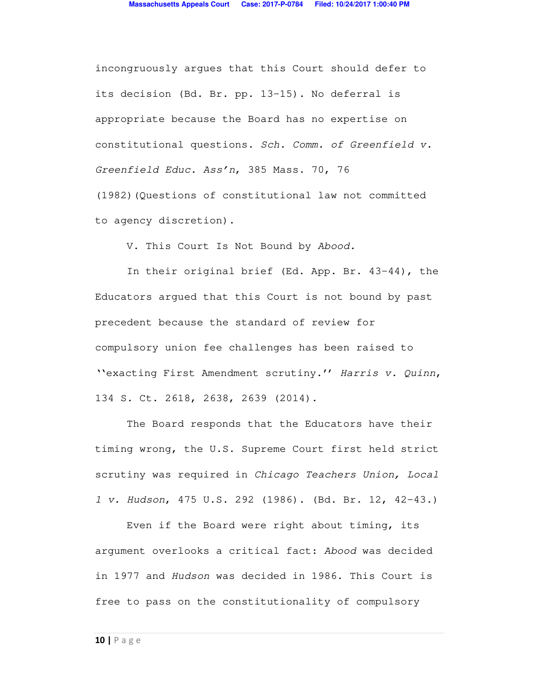incongruously argues that this Court should defer to its decision (Bd. Br. pp. 13-15). No deferral is appropriate because the Board has no expertise on constitutional questions. *Sch. Comm. of Greenfield v. Greenfield Educ. Ass'n*, 385 Mass. 70, 76 (1982)(Questions of constitutional law not committed to agency discretion).

V. This Court Is Not Bound by *Abood.*

In their original brief (Ed. App. Br. 43-44), the Educators argued that this Court is not bound by past precedent because the standard of review for compulsory union fee challenges has been raised to ''exacting First Amendment scrutiny.'' *Harris v. Quinn*, 134 S. Ct. 2618, 2638, 2639 (2014).

The Board responds that the Educators have their timing wrong, the U.S. Supreme Court first held strict scrutiny was required in *Chicago Teachers Union, Local 1 v. Hudson*, 475 U.S. 292 (1986). (Bd. Br. 12, 42-43.)

Even if the Board were right about timing, its argument overlooks a critical fact: *Abood* was decided in 1977 and *Hudson* was decided in 1986. This Court is free to pass on the constitutionality of compulsory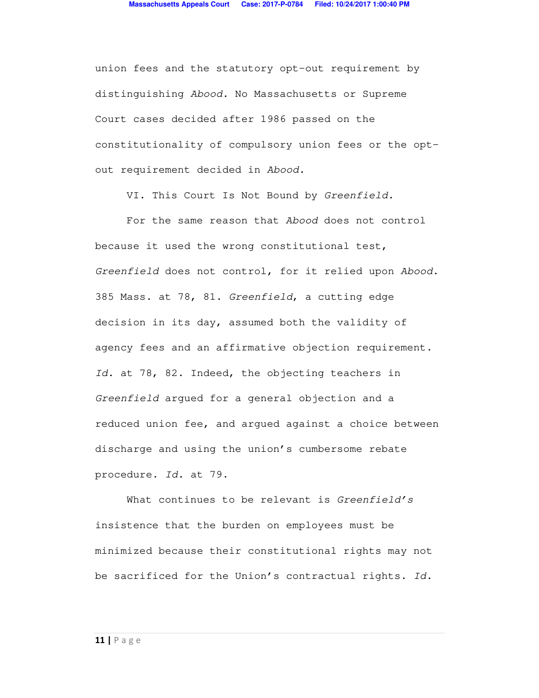union fees and the statutory opt-out requirement by distinguishing *Abood.* No Massachusetts or Supreme Court cases decided after 1986 passed on the constitutionality of compulsory union fees or the optout requirement decided in *Abood.* 

VI. This Court Is Not Bound by *Greenfield.*

For the same reason that *Abood* does not control because it used the wrong constitutional test, *Greenfield* does not control, for it relied upon *Abood.*  385 Mass. at 78, 81. *Greenfield*, a cutting edge decision in its day, assumed both the validity of agency fees and an affirmative objection requirement. *Id.* at 78, 82. Indeed, the objecting teachers in *Greenfield* argued for a general objection and a reduced union fee, and argued against a choice between discharge and using the union's cumbersome rebate procedure. *Id.* at 79.

What continues to be relevant is *Greenfield's*  insistence that the burden on employees must be minimized because their constitutional rights may not be sacrificed for the Union's contractual rights. *Id.*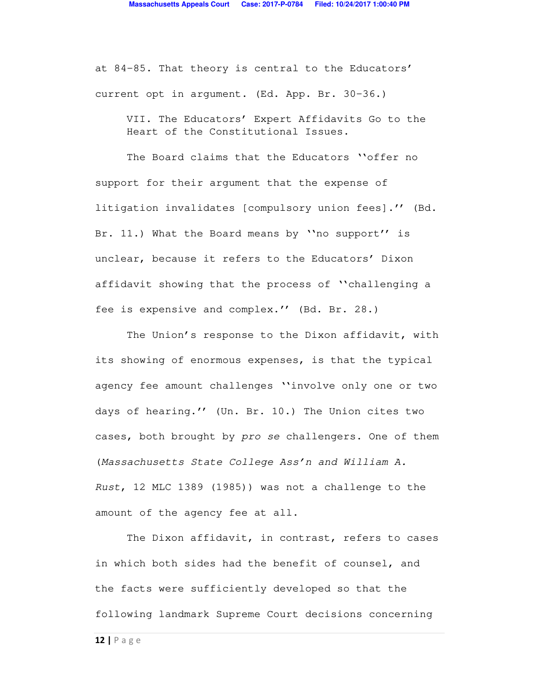at 84-85. That theory is central to the Educators' current opt in argument. (Ed. App. Br. 30-36.)

VII. The Educators' Expert Affidavits Go to the Heart of the Constitutional Issues.

The Board claims that the Educators ''offer no support for their argument that the expense of litigation invalidates [compulsory union fees].'' (Bd. Br. 11.) What the Board means by ''no support'' is unclear, because it refers to the Educators' Dixon affidavit showing that the process of ''challenging a fee is expensive and complex.'' (Bd. Br. 28.)

The Union's response to the Dixon affidavit, with its showing of enormous expenses, is that the typical agency fee amount challenges ''involve only one or two days of hearing.'' (Un. Br. 10.) The Union cites two cases, both brought by *pro se* challengers. One of them (*Massachusetts State College Ass'n and William A. Rust*, 12 MLC 1389 (1985)) was not a challenge to the amount of the agency fee at all.

The Dixon affidavit, in contrast, refers to cases in which both sides had the benefit of counsel, and the facts were sufficiently developed so that the following landmark Supreme Court decisions concerning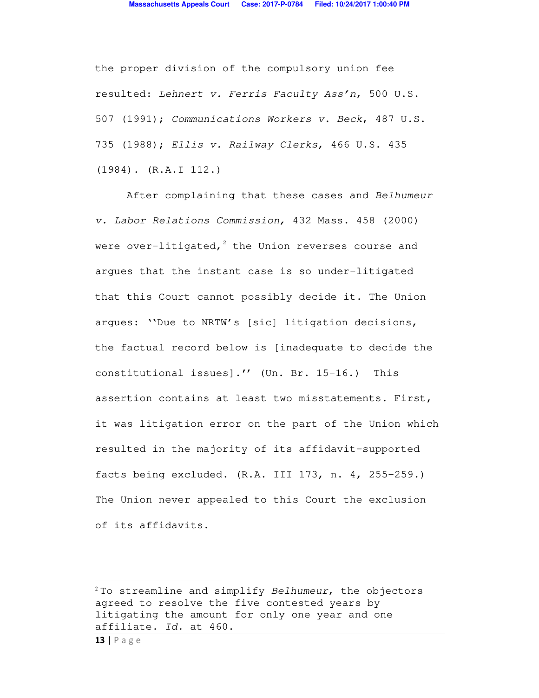the proper division of the compulsory union fee resulted: *Lehnert v. Ferris Faculty Ass'n*, 500 U.S. 507 (1991); *Communications Workers v. Beck*, 487 U.S. 735 (1988); *Ellis v. Railway Clerks*, 466 U.S. 435 (1984). (R.A.I 112.)

After complaining that these cases and *Belhumeur v. Labor Relations Commission,* 432 Mass. 458 (2000) were over-litigated, $^2$  the Union reverses course and argues that the instant case is so under-litigated that this Court cannot possibly decide it. The Union argues: ''Due to NRTW's [sic] litigation decisions, the factual record below is [inadequate to decide the constitutional issues].'' (Un. Br. 15-16.) This assertion contains at least two misstatements. First, it was litigation error on the part of the Union which resulted in the majority of its affidavit-supported facts being excluded. (R.A. III 173, n. 4, 255-259.) The Union never appealed to this Court the exclusion of its affidavits.

 $\overline{a}$ 

<sup>2</sup> To streamline and simplify *Belhumeur*, the objectors agreed to resolve the five contested years by litigating the amount for only one year and one affiliate. *Id.* at 460.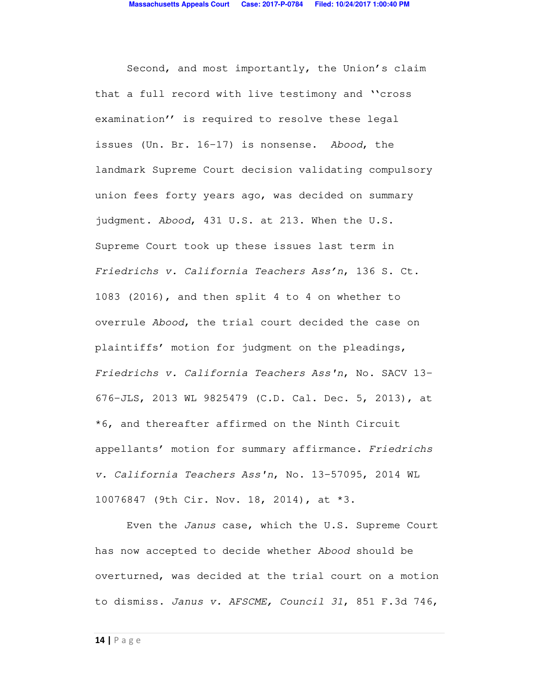Second, and most importantly, the Union's claim that a full record with live testimony and ''cross examination'' is required to resolve these legal issues (Un. Br. 16-17) is nonsense. *Abood*, the landmark Supreme Court decision validating compulsory union fees forty years ago, was decided on summary judgment. *Abood*, 431 U.S. at 213. When the U.S. Supreme Court took up these issues last term in *Friedrichs v. California Teachers Ass'n*, 136 S. Ct. 1083 (2016), and then split 4 to 4 on whether to overrule *Abood*, the trial court decided the case on plaintiffs' motion for judgment on the pleadings, *Friedrichs v. California Teachers Ass'n*, No. SACV 13- 676-JLS, 2013 WL 9825479 (C.D. Cal. Dec. 5, 2013), at \*6, and thereafter affirmed on the Ninth Circuit appellants' motion for summary affirmance. *Friedrichs v. California Teachers Ass'n*, No. 13-57095, 2014 WL 10076847 (9th Cir. Nov. 18, 2014), at \*3.

Even the *Janus* case, which the U.S. Supreme Court has now accepted to decide whether *Abood* should be overturned, was decided at the trial court on a motion to dismiss. *Janus v. AFSCME, Council 31*, 851 F.3d 746,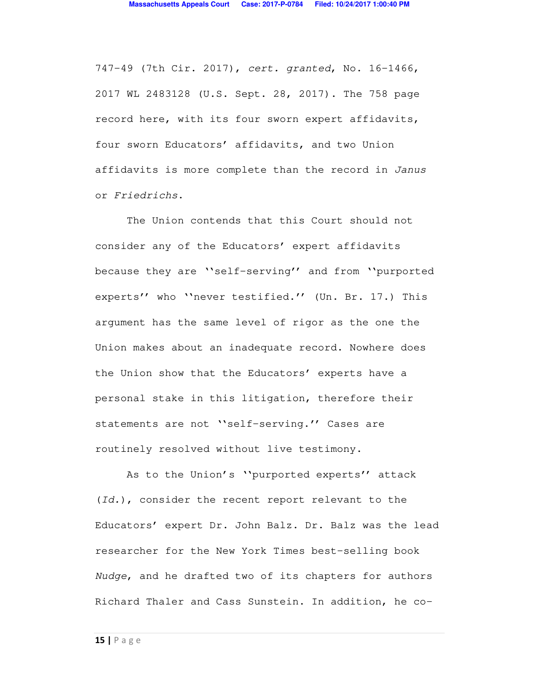747-49 (7th Cir. 2017), *cert. granted*, No. 16-1466, 2017 WL 2483128 (U.S. Sept. 28, 2017). The 758 page record here, with its four sworn expert affidavits, four sworn Educators' affidavits, and two Union affidavits is more complete than the record in *Janus* or *Friedrichs*.

The Union contends that this Court should not consider any of the Educators' expert affidavits because they are ''self-serving'' and from ''purported experts'' who ''never testified.'' (Un. Br. 17.) This argument has the same level of rigor as the one the Union makes about an inadequate record. Nowhere does the Union show that the Educators' experts have a personal stake in this litigation, therefore their statements are not ''self-serving.'' Cases are routinely resolved without live testimony.

As to the Union's ''purported experts'' attack (*Id.*), consider the recent report relevant to the Educators' expert Dr. John Balz. Dr. Balz was the lead researcher for the New York Times best-selling book *Nudge*, and he drafted two of its chapters for authors Richard Thaler and Cass Sunstein. In addition, he co-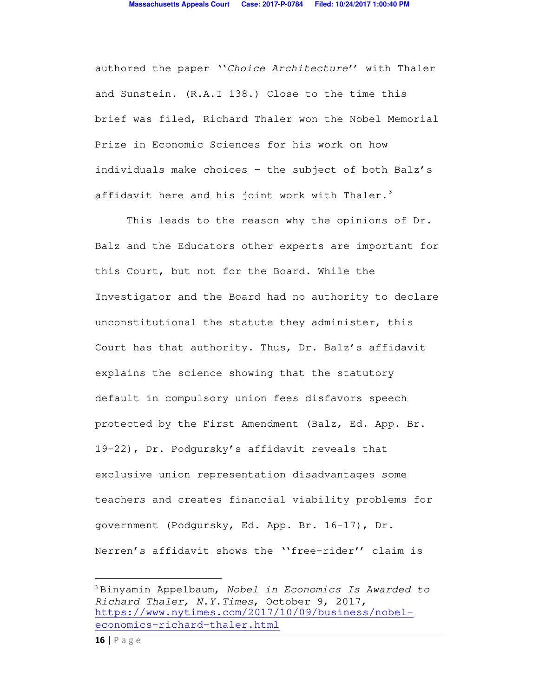authored the paper ''*Choice Architecture*'' with Thaler and Sunstein. (R.A.I 138.) Close to the time this brief was filed, Richard Thaler won the Nobel Memorial Prize in Economic Sciences for his work on how individuals make choices - the subject of both Balz's affidavit here and his joint work with Thaler.<sup>3</sup>

This leads to the reason why the opinions of Dr. Balz and the Educators other experts are important for this Court, but not for the Board. While the Investigator and the Board had no authority to declare unconstitutional the statute they administer, this Court has that authority. Thus, Dr. Balz's affidavit explains the science showing that the statutory default in compulsory union fees disfavors speech protected by the First Amendment (Balz, Ed. App. Br. 19-22), Dr. Podgursky's affidavit reveals that exclusive union representation disadvantages some teachers and creates financial viability problems for government (Podgursky, Ed. App. Br. 16-17), Dr. Nerren's affidavit shows the ''free-rider'' claim is

 $\overline{a}$ 

<sup>3</sup> Binyamin Appelbaum, *Nobel in Economics Is Awarded to Richard Thaler, N.Y.Times*, October 9, 2017, https://www.nytimes.com/2017/10/09/business/nobeleconomics-richard-thaler.html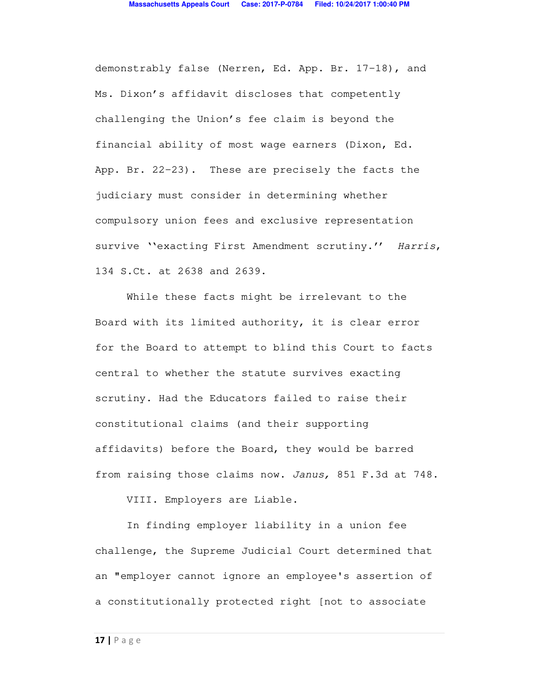demonstrably false (Nerren, Ed. App. Br. 17-18), and Ms. Dixon's affidavit discloses that competently challenging the Union's fee claim is beyond the financial ability of most wage earners (Dixon, Ed. App. Br. 22-23). These are precisely the facts the judiciary must consider in determining whether compulsory union fees and exclusive representation survive ''exacting First Amendment scrutiny.'' *Harris*, 134 S.Ct. at 2638 and 2639.

While these facts might be irrelevant to the Board with its limited authority, it is clear error for the Board to attempt to blind this Court to facts central to whether the statute survives exacting scrutiny. Had the Educators failed to raise their constitutional claims (and their supporting affidavits) before the Board, they would be barred from raising those claims now. *Janus,* 851 F.3d at 748.

VIII. Employers are Liable.

In finding employer liability in a union fee challenge, the Supreme Judicial Court determined that an "employer cannot ignore an employee's assertion of a constitutionally protected right [not to associate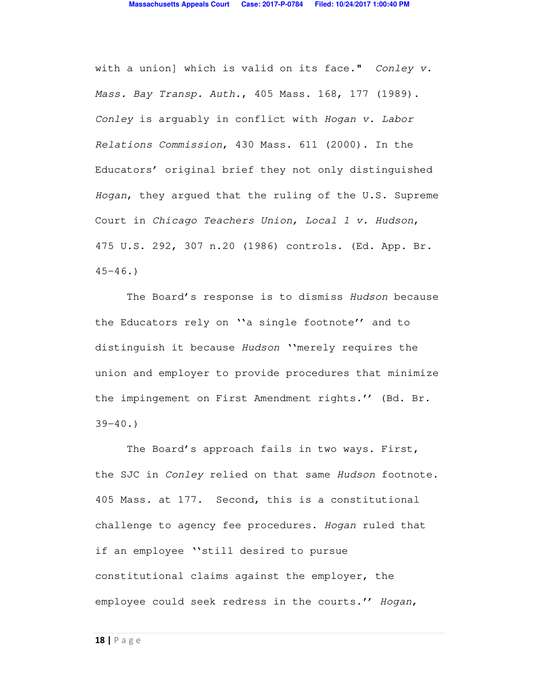with a union] which is valid on its face." *Conley v. Mass. Bay Transp. Auth.*, 405 Mass. 168, 177 (1989). *Conley* is arguably in conflict with *Hogan v. Labor Relations Commission*, 430 Mass. 611 (2000). In the Educators' original brief they not only distinguished *Hogan*, they argued that the ruling of the U.S. Supreme Court in *Chicago Teachers Union, Local 1 v. Hudson*, 475 U.S. 292, 307 n.20 (1986) controls. (Ed. App. Br.  $45 - 46.$ 

The Board's response is to dismiss *Hudson* because the Educators rely on ''a single footnote'' and to distinguish it because *Hudson* ''merely requires the union and employer to provide procedures that minimize the impingement on First Amendment rights.'' (Bd. Br.  $39 - 40.$ 

The Board's approach fails in two ways. First, the SJC in *Conley* relied on that same *Hudson* footnote. 405 Mass. at 177. Second, this is a constitutional challenge to agency fee procedures. *Hogan* ruled that if an employee ''still desired to pursue constitutional claims against the employer, the employee could seek redress in the courts.'' *Hogan*,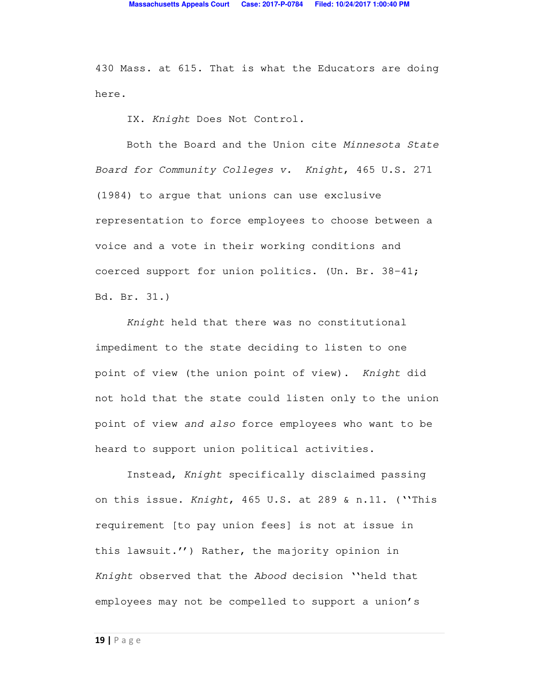430 Mass. at 615. That is what the Educators are doing here.

IX. *Knight* Does Not Control*.* 

Both the Board and the Union cite *Minnesota State Board for Community Colleges v. Knight*, 465 U.S. 271 (1984) to argue that unions can use exclusive representation to force employees to choose between a voice and a vote in their working conditions and coerced support for union politics. (Un. Br. 38-41; Bd. Br. 31.)

*Knight* held that there was no constitutional impediment to the state deciding to listen to one point of view (the union point of view). *Knight* did not hold that the state could listen only to the union point of view *and also* force employees who want to be heard to support union political activities.

Instead, *Knight* specifically disclaimed passing on this issue. *Knight*, 465 U.S. at 289 & n.11. (''This requirement [to pay union fees] is not at issue in this lawsuit.'') Rather, the majority opinion in *Knight* observed that the *Abood* decision ''held that employees may not be compelled to support a union's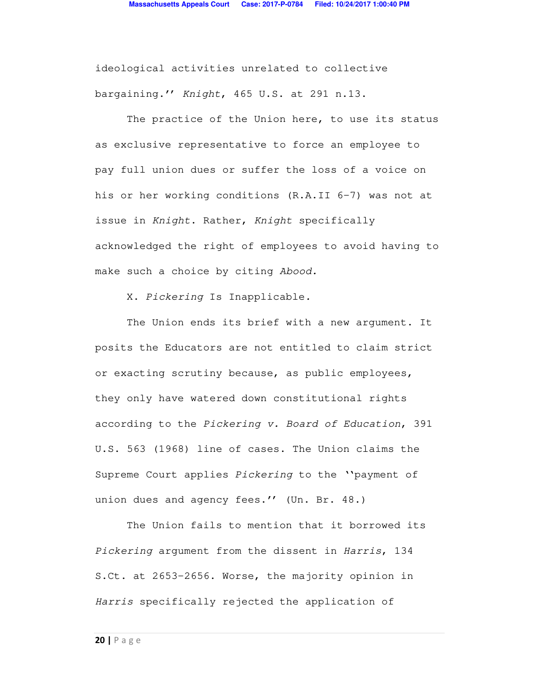ideological activities unrelated to collective bargaining.'' *Knight*, 465 U.S. at 291 n.13.

The practice of the Union here, to use its status as exclusive representative to force an employee to pay full union dues or suffer the loss of a voice on his or her working conditions (R.A.II 6-7) was not at issue in *Knight*. Rather, *Knight* specifically acknowledged the right of employees to avoid having to make such a choice by citing *Abood.*

X. *Pickering* Is Inapplicable*.*

The Union ends its brief with a new argument. It posits the Educators are not entitled to claim strict or exacting scrutiny because, as public employees, they only have watered down constitutional rights according to the *Pickering v. Board of Education*, 391 U.S. 563 (1968) line of cases. The Union claims the Supreme Court applies *Pickering* to the ''payment of union dues and agency fees.'' (Un. Br. 48.)

The Union fails to mention that it borrowed its *Pickering* argument from the dissent in *Harris*, 134 S.Ct. at 2653-2656. Worse, the majority opinion in *Harris* specifically rejected the application of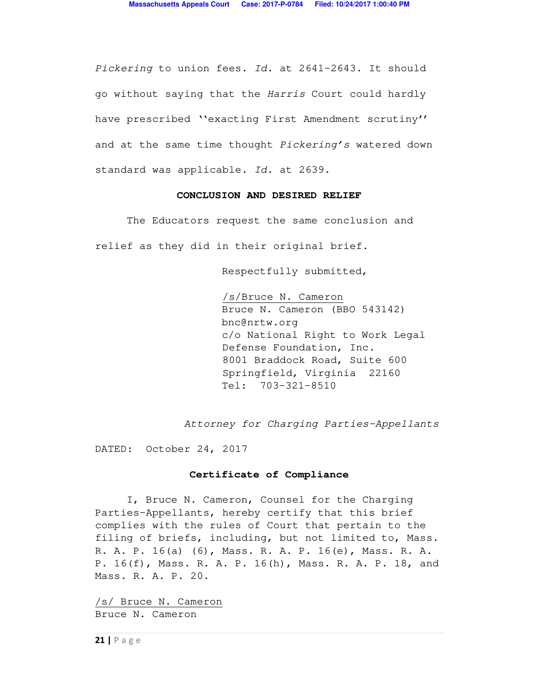*Pickering* to union fees. *Id.* at 2641-2643. It should go without saying that the *Harris* Court could hardly have prescribed ''exacting First Amendment scrutiny'' and at the same time thought *Pickering's* watered down standard was applicable. *Id.* at 2639.

#### **CONCLUSION AND DESIRED RELIEF**

 The Educators request the same conclusion and relief as they did in their original brief.

Respectfully submitted,

 /s/Bruce N. Cameron Bruce N. Cameron (BBO 543142) bnc@nrtw.org c/o National Right to Work Legal Defense Foundation, Inc. 8001 Braddock Road, Suite 600 Springfield, Virginia 22160 Tel: 703-321-8510

*Attorney for Charging Parties-Appellants*

DATED: October 24, 2017

#### **Certificate of Compliance**

 I, Bruce N. Cameron, Counsel for the Charging Parties-Appellants, hereby certify that this brief complies with the rules of Court that pertain to the filing of briefs, including, but not limited to, Mass. R. A. P. 16(a) (6), Mass. R. A. P. 16(e), Mass. R. A. P. 16(f), Mass. R. A. P. 16(h), Mass. R. A. P. 18, and Mass. R. A. P. 20.

/s/ Bruce N. Cameron Bruce N. Cameron